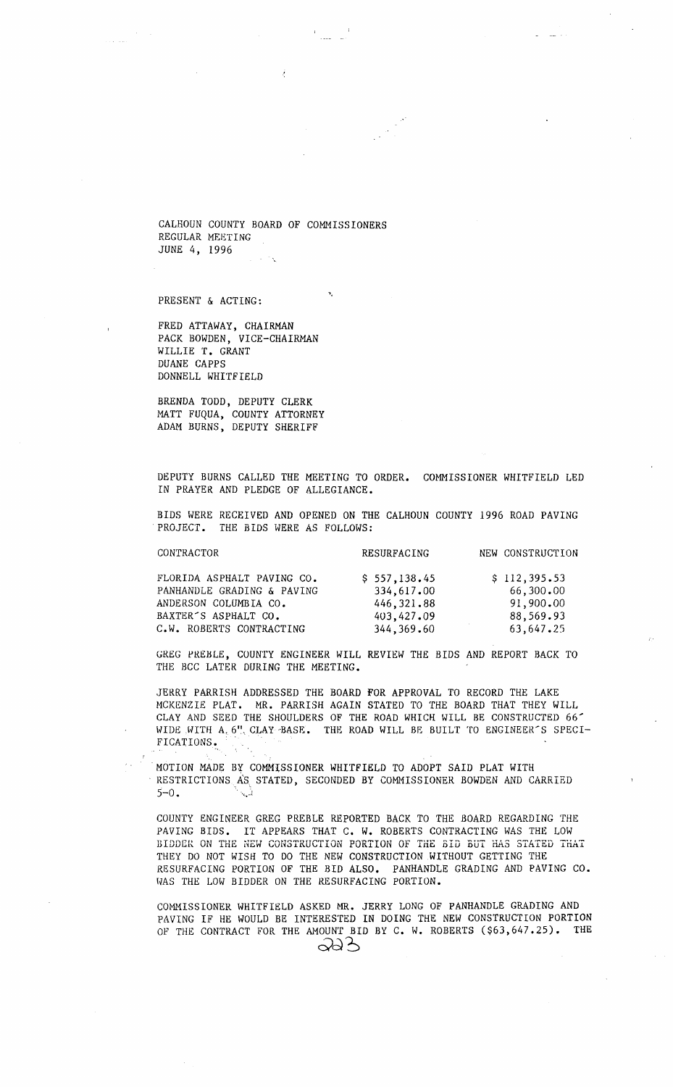CALHOUN COUNTY BOARD OF COMMISSIONERS REGULAR MEETING JUNE 4, 1996

PRESENT & ACTING:

FRED ATTAWAY, CHAIRMAN PACK BOWDEN, VICE-CHAIRMAN WILLIE T. GRANT DUANE CAPPS DONNELL WHITFIELD

BRENDA TODD, DEPUTY CLERK MATT FUQUA, COUNTY ATTORNEY ADAM BURNS, DEPUTY SHERIFF

DEPUTY BURNS CALLED THE MEETING TO ORDER. COHMISSIONER WHITFIELD LED IN PRAYER AND PLEDGE OF ALLEGIANCE.

BIDS WERE RECEIVED AND OPENED ON THE CALHOUN COUNTY 1996 ROAD PAVING PROJECT. THE BIDS WERE AS FOLLOWS:

| CONTRACTOR                                                                                                             | RESURFACING                                             | NEW CONSTRUCTION                                    |
|------------------------------------------------------------------------------------------------------------------------|---------------------------------------------------------|-----------------------------------------------------|
| FLORIDA ASPHALT PAVING CO.<br>PANHANDLE GRADING & PAVING<br>ANDERSON COLUMBIA CO.<br>BAXTER <sup>-</sup> S ASPHALT CO. | \$557,138.45<br>334,617.00<br>446, 321.88<br>403,427.09 | \$112,395.53<br>66,300.00<br>91,900,00<br>88,569.93 |
| C.W. ROBERTS CONTRACTING                                                                                               | 344,369.60                                              | 63,647.25                                           |

GREG PREHLE, COUNTY ENGINEER WILL REVIEW THE BIDS AND REPORT BACK TO THE BCC LATER DURING THE MEETING.

JERRY PARRISH ADDRESSED THE BOARD FOR APPROVAL TO RECORD THE LAKE MCKENZIE PLAT. MR. PARRISH AGAIN STATED TO THE BOARD THAT THEY WILL CLAY AND SEED THE SHOULDERS OF THE ROAD WHICH WILL BE CONSTRUCTED 66' WIDE WITH A, 6". CLAY BASE. THE ROAD WILL BE BUILT TO ENGINEER'S SPECI-FICATIONS.

MOTION MADE BY COMMISSIONER WHITFIELD TO ADOPT SAID PLAT WITH RESTRICTIONS AS STATED, SECONDED BY COMMISSIONER BOWDEN AND CARRIED  $5-0$ .

*COUNTY* ENGINEER GREG PREBLE REPORTED BACK TO THE BOARD REGARDING THE PAVING BIDS. IT APPEARS THAT C. W. ROBERTS CONTRACTING WAS THE LOW BIDDER ON THE NEW CONSTRUCTION PORTION OF THE 5ID BUT HAS STATED THAT THEY DO NOT WISH TO DO THE NEW CONSTRUCTION WITHOUT GETTING THE RESURFACING PORTION OF THE BID ALSO. PANHANDLE GRADING AND PAVING CO. WAS THE LOW BIDDER ON THE RESURFACING PORTION.

COMMISSIONER WHITFIELD ASKED MR. JERRY LONG OF PANHANDLE GRADING AND PAVING IF HE WOULD BE INTERESTED IN DOING THE NEW CONSTRUCTION PORTION OF THE CONTRACT FOR THE AMOUNT BID BY C. W. ROBERTS (\$63,647.25). THE  $\infty$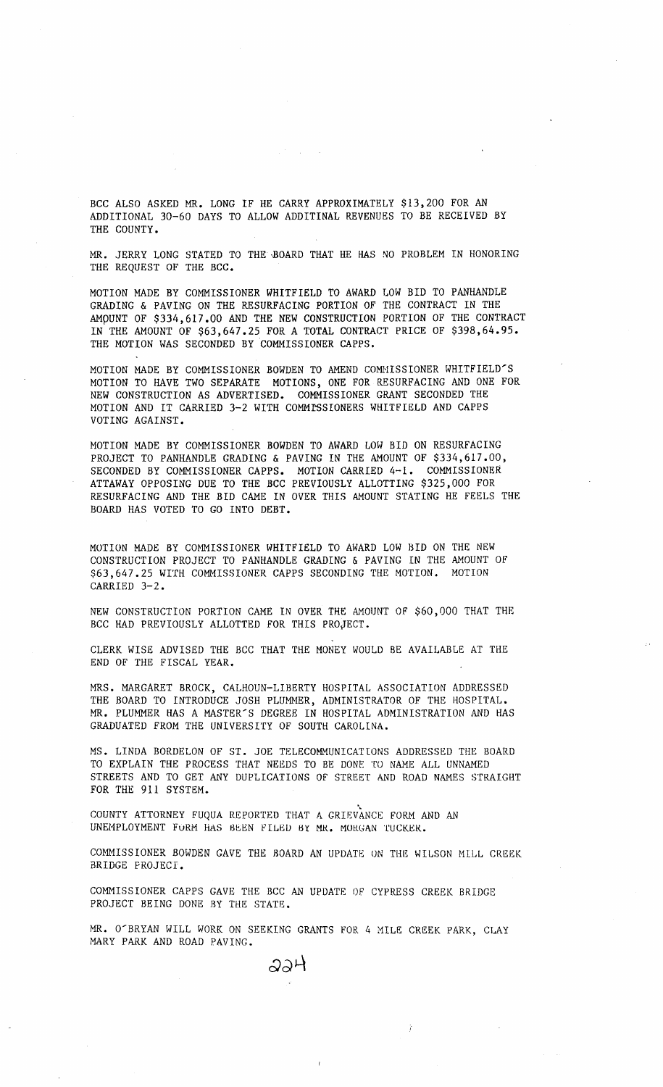BCC ALSO ASKED MR. LONG IF HE CARRY APPROXIMATELY \$13,200 FOR AN ADDITIONAL 30-60 DAYS TO ALLOW ADDITINAL REVENUES TO BE RECEIVED BY THE COUNTY.

MR. JERRY LONG STATED TO THE·BOARD THAT HE HAS NO PROBLEM IN HONORING THE REQUEST OF THE BCC.

MOTION MADE BY COMMISSIONER WHITFIELD TO AWARD LOW BID TO PANHANDLE GRADING & PAVING ON THE RESURFACING PORTION *OF* THE CONTRACT IN THE AMpUNT OF \$334,617.00 AND THE NEW CONSTRUCTION PORTION OF THE CONTRACT IN THE AMOUNT OF \$63,647.25 FOR A TOTAL CONTRACT PRICE OF \$398,64.95. THE MOTION WAS SECONDED BY COMMISSIONER CAPPS.

MOTION MADE BY COMMISSIONER BOWDEN TO AMEND COMMISSIONER WHITFIELD'S MOTION TO HAVE TWO SEPARATE MOTIONS, ONE FOR RESURFACING AND ONE FOR NEW CONSTRUCTION AS ADVERTISED. COMMISSIONER GRANT SECONDED THE MOTION AND IT CARRIED 3-2 WITH COMMISSIONERS WHITFIELD AND CAPPS VOTING AGAINST.

MOTION MADE BY COMMISSIONER BOWDEN TO AWARD LOW BID ON RESURFACING PROJECT TO PANHANDLE GRADING & PAVING IN THE AMOUNT OF \$334,617.00, SECONDED BY COMMISSIONER CAPPS. MOTION CARRIED 4-1. COMMISSIONER ATTAWAY OPPOSING DUE TO THE BCC PREVIOUSLY ALLOTTING \$325,000 FOR RESURFACING AND THE BID CAME IN OVER THIS AMOUNT STATING HE FEELS THE BOARD HAS VOTED TO GO INTO DEBT.

MOTION MADE BY COMMISSIONER WHITFIELD TO AWARD LOW BID ON THE NEW CONSTRUCTION PROJECT TO PANHANDLE GRADING & PAVING IN THE AMOUNT OF \$63,647.25 WITH COMMISSIONER CAPPS SECONDING THE MOTION. MOTION CARRIED 3-2.

NEW CONSTRUCTION PORTION CAME IN OVER THE AMOUNT OF \$60,000 THAT THE BCC HAD PREVIOUSLY ALLOTTED FOR THIS PROJECT.

CLERK WISE ADVISED THE BCC THAT THE MONEY WOULD BE AVAILABLE AT THE END OF THE FISCAL YEAR.

MRS. MARGARET BROCK, CALHOUN-LIBERTY HOSPITAL ASSOCIATION ADDRESSED THE BOARD TO INTRODUCE JOSH PLUMMER, ADMINISTRATOR OF THE HOSPITAL. MR. PLUMMER HAS A MASTER'S DEGREE IN HOSPITAL ADMINISTRATION AND HAS GRADUATED FROM THE UNIVERSITY OF SOUTH CAROLINA.

MS. LINDA BORDELON OF ST. JOE TELECOMMUNICATIONS ADDRESSED THE BOARD TO EXPLAIN THE PROCESS THAT NEEDS TO BE DONE TO NAME ALL UNNAMED STREETS AND TO GET ANY DUPLICATIONS OF STREET AND ROAD NAMES STRAIGHT FOR THE 911 SYSTEM.

COUNTY ATTORNEY FUQUA REPORTED THAT A GRIEVANCE FORM AND AN UNEMPLOYMENT FORM HAS BEEN FILED BY MR. MORGAN TUCKER.

COMMISSIONER BOWDEN GAVE THE BOARD AN UPDATE ON THE WILSON MILL CREEK BRIDGE PROJECT.

COMMISSIONER CAPPS GAVE THE BCC AN UPDATE OF CYPRESS CREEK BRIDGE PROJECT BEING DONE BY THE STATE.

MR. O'BRYAN WILL WORK ON SEEKING GRANTS FOR 4 MILE CREEK PARK, CLAY MARY PARK AND ROAD PAVING.

ふふり